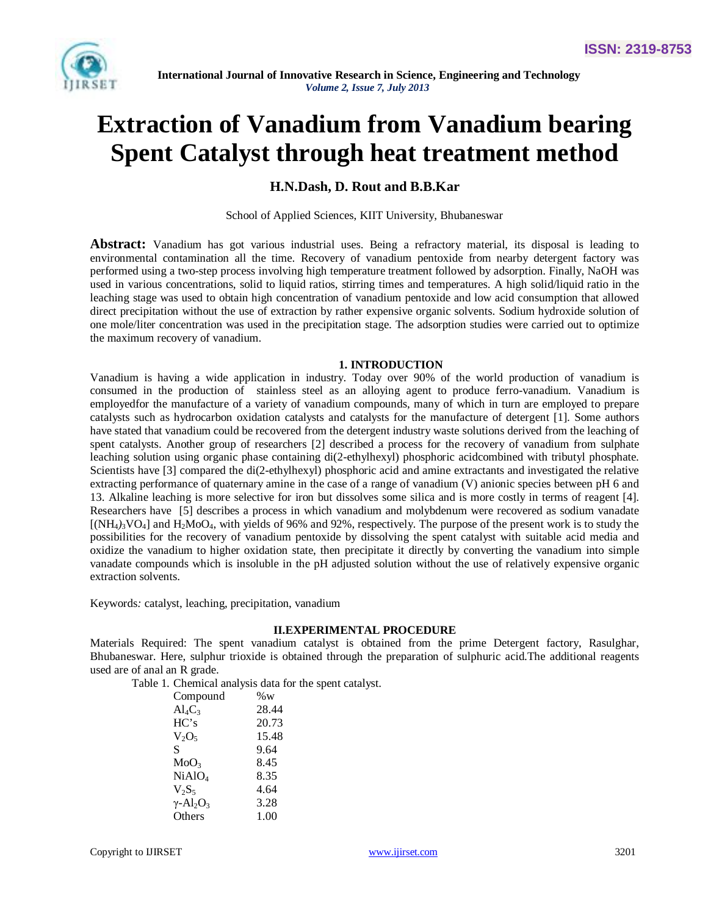

# **Extraction of Vanadium from Vanadium bearing Spent Catalyst through heat treatment method**

# **H.N.Dash, D. Rout and B.B.Kar**

School of Applied Sciences, KIIT University, Bhubaneswar

**Abstract:** Vanadium has got various industrial uses. Being a refractory material, its disposal is leading to environmental contamination all the time. Recovery of vanadium pentoxide from nearby detergent factory was performed using a two-step process involving high temperature treatment followed by adsorption. Finally, NaOH was used in various concentrations, solid to liquid ratios, stirring times and temperatures. A high solid/liquid ratio in the leaching stage was used to obtain high concentration of vanadium pentoxide and low acid consumption that allowed direct precipitation without the use of extraction by rather expensive organic solvents. Sodium hydroxide solution of one mole/liter concentration was used in the precipitation stage. The adsorption studies were carried out to optimize the maximum recovery of vanadium.

## **1. INTRODUCTION**

Vanadium is having a wide application in industry. Today over 90% of the world production of vanadium is consumed in the production of stainless steel as an alloying agent to produce ferro-vanadium. Vanadium is employedfor the manufacture of a variety of vanadium compounds, many of which in turn are employed to prepare catalysts such as hydrocarbon oxidation catalysts and catalysts for the manufacture of detergent [1]. Some authors have stated that vanadium could be recovered from the detergent industry waste solutions derived from the leaching of spent catalysts. Another group of researchers [2] described a process for the recovery of vanadium from sulphate leaching solution using organic phase containing di(2-ethylhexyl) phosphoric acidcombined with tributyl phosphate. Scientists have [3] compared the di(2-ethylhexyl) phosphoric acid and amine extractants and investigated the relative extracting performance of quaternary amine in the case of a range of vanadium (V) anionic species between pH 6 and 13. Alkaline leaching is more selective for iron but dissolves some silica and is more costly in terms of reagent [4]. Researchers have [5] describes a process in which vanadium and molybdenum were recovered as sodium vanadate  $[(NH<sub>4</sub>)<sub>3</sub>VO<sub>4</sub>]$  and  $H<sub>2</sub>MO<sub>4</sub>$ , with yields of 96% and 92%, respectively. The purpose of the present work is to study the possibilities for the recovery of vanadium pentoxide by dissolving the spent catalyst with suitable acid media and oxidize the vanadium to higher oxidation state, then precipitate it directly by converting the vanadium into simple vanadate compounds which is insoluble in the pH adjusted solution without the use of relatively expensive organic extraction solvents.

Keywords*:* catalyst, leaching, precipitation, vanadium

#### **II.EXPERIMENTAL PROCEDURE**

Materials Required: The spent vanadium catalyst is obtained from the prime Detergent factory, Rasulghar, Bhubaneswar. Here, sulphur trioxide is obtained through the preparation of sulphuric acid.The additional reagents used are of anal an R grade.

Table 1. Chemical analysis data for the spent catalyst.

| Compound                                 | $\%$ W |
|------------------------------------------|--------|
| $\text{Al}_4\text{C}_3$                  | 28.44  |
| HC's                                     | 20.73  |
| $V_2O_5$                                 | 15.48  |
| S                                        | 9.64   |
| MoO3                                     | 8.45   |
| $NiAlO_4$                                | 8.35   |
| $V_2S_5$                                 | 4.64   |
| $\gamma$ -Al <sub>2</sub> O <sub>3</sub> | 3.28   |
| Others                                   | 1.00   |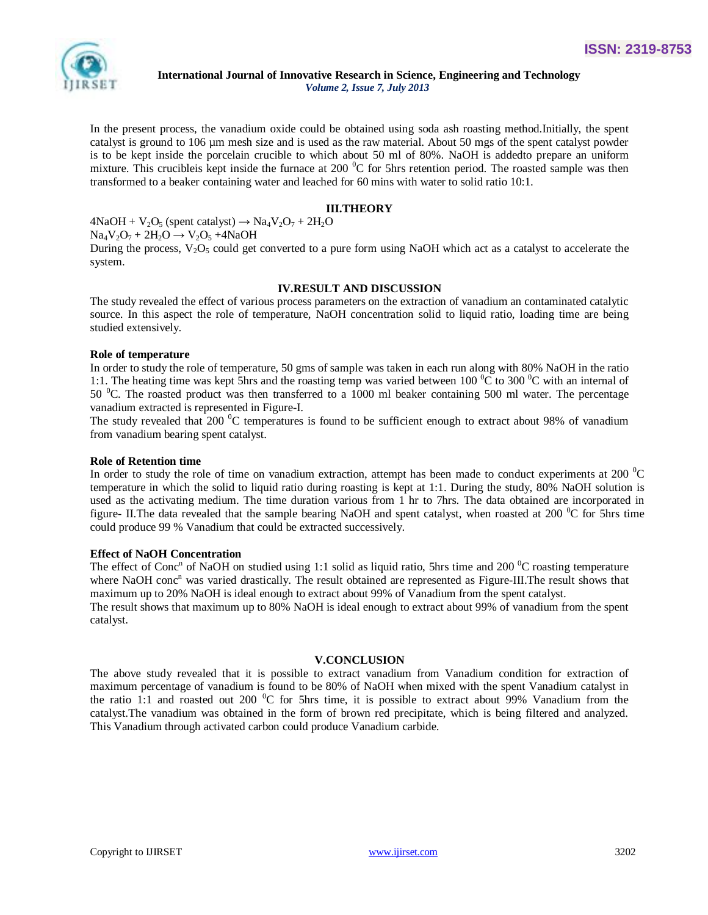

In the present process, the vanadium oxide could be obtained using soda ash roasting method.Initially, the spent catalyst is ground to 106 µm mesh size and is used as the raw material. About 50 mgs of the spent catalyst powder is to be kept inside the porcelain crucible to which about 50 ml of 80%. NaOH is addedto prepare an uniform mixture. This crucibleis kept inside the furnace at 200 $\rm{^0C}$  for 5hrs retention period. The roasted sample was then transformed to a beaker containing water and leached for 60 mins with water to solid ratio 10:1.

## **III.THEORY**

 $4NaOH + V<sub>2</sub>O<sub>5</sub>$  (spent catalyst)  $\rightarrow Na<sub>4</sub>V<sub>2</sub>O<sub>7</sub> + 2H<sub>2</sub>O$  $Na_4V_2O_7 + 2H_2O \rightarrow V_2O_5 + 4NaOH$ 

During the process,  $V_2O_5$  could get converted to a pure form using NaOH which act as a catalyst to accelerate the system.

#### **IV.RESULT AND DISCUSSION**

The study revealed the effect of various process parameters on the extraction of vanadium an contaminated catalytic source. In this aspect the role of temperature, NaOH concentration solid to liquid ratio, loading time are being studied extensively.

#### **Role of temperature**

In order to study the role of temperature, 50 gms of sample was taken in each run along with 80% NaOH in the ratio 1:1. The heating time was kept 5hrs and the roasting temp was varied between 100  $^{\circ}$ C to 300  $^{\circ}$ C with an internal of 50 <sup>o</sup>C. The roasted product was then transferred to a 1000 ml beaker containing 500 ml water. The percentage vanadium extracted is represented in Figure-I.

The study revealed that 200  $\rm{^0C}$  temperatures is found to be sufficient enough to extract about 98% of vanadium from vanadium bearing spent catalyst.

#### **Role of Retention time**

In order to study the role of time on vanadium extraction, attempt has been made to conduct experiments at 200 $^{0}C$ temperature in which the solid to liquid ratio during roasting is kept at 1:1. During the study, 80% NaOH solution is used as the activating medium. The time duration various from 1 hr to 7hrs. The data obtained are incorporated in figure- II. The data revealed that the sample bearing NaOH and spent catalyst, when roasted at 200  $\rm{^0C}$  for 5hrs time could produce 99 % Vanadium that could be extracted successively.

#### **Effect of NaOH Concentration**

The effect of Conc<sup>n</sup> of NaOH on studied using 1:1 solid as liquid ratio, 5hrs time and 200  $\rm{^0C}$  roasting temperature where NaOH conc<sup>n</sup> was varied drastically. The result obtained are represented as Figure-III.The result shows that maximum up to 20% NaOH is ideal enough to extract about 99% of Vanadium from the spent catalyst. The result shows that maximum up to 80% NaOH is ideal enough to extract about 99% of vanadium from the spent catalyst.

#### **V.CONCLUSION**

The above study revealed that it is possible to extract vanadium from Vanadium condition for extraction of maximum percentage of vanadium is found to be 80% of NaOH when mixed with the spent Vanadium catalyst in the ratio 1:1 and roasted out 200  $\rm{^0C}$  for 5hrs time, it is possible to extract about 99% Vanadium from the catalyst.The vanadium was obtained in the form of brown red precipitate, which is being filtered and analyzed. This Vanadium through activated carbon could produce Vanadium carbide.